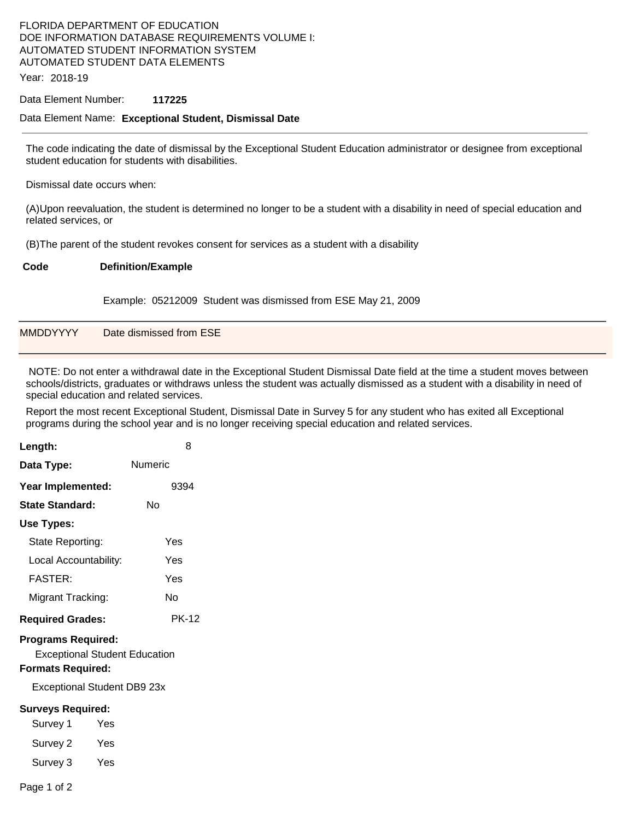## FLORIDA DEPARTMENT OF EDUCATION DOE INFORMATION DATABASE REQUIREMENTS VOLUME I: AUTOMATED STUDENT INFORMATION SYSTEM AUTOMATED STUDENT DATA ELEMENTS

Year: 2018-19

### Data Element Number: **117225**

### Data Element Name: **Exceptional Student, Dismissal Date**

The code indicating the date of dismissal by the Exceptional Student Education administrator or designee from exceptional student education for students with disabilities.

Dismissal date occurs when:

(A)Upon reevaluation, the student is determined no longer to be a student with a disability in need of special education and related services, or

(B)The parent of the student revokes consent for services as a student with a disability

### **Code Definition/Example**

Example: 05212009 Student was dismissed from ESE May 21, 2009

| <b>MMDDYYYY</b> | Date dismissed from ESE |  |  |
|-----------------|-------------------------|--|--|
|                 |                         |  |  |

 NOTE: Do not enter a withdrawal date in the Exceptional Student Dismissal Date field at the time a student moves between schools/districts, graduates or withdraws unless the student was actually dismissed as a student with a disability in need of special education and related services.

Report the most recent Exceptional Student, Dismissal Date in Survey 5 for any student who has exited all Exceptional programs during the school year and is no longer receiving special education and related services.

| Length:                                                                                       | 8            |  |  |  |  |  |
|-----------------------------------------------------------------------------------------------|--------------|--|--|--|--|--|
| Data Type:                                                                                    | Numeric      |  |  |  |  |  |
| Year Implemented:                                                                             | 9394         |  |  |  |  |  |
| State Standard:                                                                               | Nο           |  |  |  |  |  |
| Use Types:                                                                                    |              |  |  |  |  |  |
| State Reporting:                                                                              | Yes          |  |  |  |  |  |
| Local Accountability:                                                                         | Yes          |  |  |  |  |  |
| FASTFR·                                                                                       | Yes          |  |  |  |  |  |
| Migrant Tracking:                                                                             | N٥           |  |  |  |  |  |
| <b>Required Grades:</b>                                                                       | <b>PK-12</b> |  |  |  |  |  |
| <b>Programs Required:</b><br><b>Exceptional Student Education</b><br><b>Formats Required:</b> |              |  |  |  |  |  |
| Exceptional Student DB9 23x                                                                   |              |  |  |  |  |  |
| <b>Surveys Required:</b>                                                                      |              |  |  |  |  |  |
| Survey 1<br>Yes                                                                               |              |  |  |  |  |  |
| Yes<br>Survey 2                                                                               |              |  |  |  |  |  |
| Survey 3<br>Yes                                                                               |              |  |  |  |  |  |

Page 1 of 2